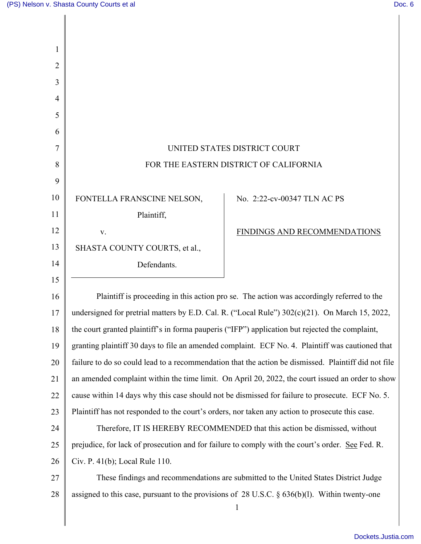| 1              |                                                                                                      |                              |
|----------------|------------------------------------------------------------------------------------------------------|------------------------------|
| 2              |                                                                                                      |                              |
| 3              |                                                                                                      |                              |
| $\overline{4}$ |                                                                                                      |                              |
| 5              |                                                                                                      |                              |
| 6              |                                                                                                      |                              |
| 7              | UNITED STATES DISTRICT COURT                                                                         |                              |
| 8              | FOR THE EASTERN DISTRICT OF CALIFORNIA                                                               |                              |
| 9              |                                                                                                      |                              |
| 10             | FONTELLA FRANSCINE NELSON,                                                                           | No. 2:22-cv-00347 TLN AC PS  |
| 11             | Plaintiff,                                                                                           |                              |
| 12             | V.                                                                                                   | FINDINGS AND RECOMMENDATIONS |
| 13             | SHASTA COUNTY COURTS, et al.,                                                                        |                              |
| 14             | Defendants.                                                                                          |                              |
| 15             |                                                                                                      |                              |
| 16             | Plaintiff is proceeding in this action pro se. The action was accordingly referred to the            |                              |
| 17             | undersigned for pretrial matters by E.D. Cal. R. ("Local Rule") 302(c)(21). On March 15, 2022,       |                              |
| 18             | the court granted plaintiff's in forma pauperis ("IFP") application but rejected the complaint,      |                              |
| 19             | granting plaintiff 30 days to file an amended complaint. ECF No. 4. Plaintiff was cautioned that     |                              |
| 20             | failure to do so could lead to a recommendation that the action be dismissed. Plaintiff did not file |                              |
| 21             | an amended complaint within the time limit. On April 20, 2022, the court issued an order to show     |                              |
| 22             | cause within 14 days why this case should not be dismissed for failure to prosecute. ECF No. 5.      |                              |
| 23             | Plaintiff has not responded to the court's orders, nor taken any action to prosecute this case.      |                              |
| 24             | Therefore, IT IS HEREBY RECOMMENDED that this action be dismissed, without                           |                              |
| 25             | prejudice, for lack of prosecution and for failure to comply with the court's order. See Fed. R.     |                              |
| 26             | Civ. P. 41(b); Local Rule 110.                                                                       |                              |
| 27             | These findings and recommendations are submitted to the United States District Judge                 |                              |
| 28             | assigned to this case, pursuant to the provisions of $28$ U.S.C. § $636(b)(1)$ . Within twenty-one   | $\mathbf{1}$                 |
|                |                                                                                                      |                              |